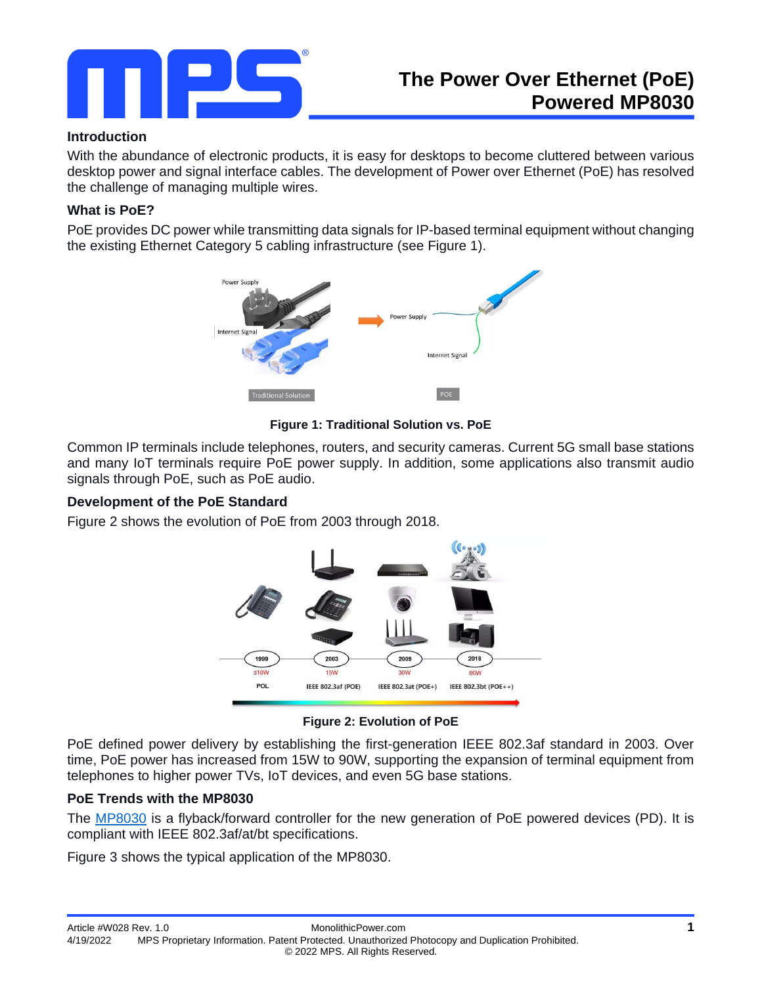

### **Introduction**

With the abundance of electronic products, it is easy for desktops to become cluttered between various desktop power and signal interface cables. The development of Power over Ethernet (PoE) has resolved the challenge of managing multiple wires.

# **What is PoE?**

PoE provides DC power while transmitting data signals for IP-based terminal equipment without changing the existing Ethernet Category 5 cabling infrastructure (see Figure 1).



**Figure 1: Traditional Solution vs. PoE**

Common IP terminals include telephones, routers, and security cameras. Current 5G small base stations and many IoT terminals require PoE power supply. In addition, some applications also transmit audio signals through PoE, such as PoE audio.

### **Development of the PoE Standard**

Figure 2 shows the evolution of PoE from 2003 through 2018.



**Figure 2: Evolution of PoE**

PoE defined power delivery by establishing the first-generation IEEE 802.3af standard in 2003. Over time, PoE power has increased from 15W to 90W, supporting the expansion of terminal equipment from telephones to higher power TVs, IoT devices, and even 5G base stations.

### **PoE Trends with the MP8030**

The [MP8030](https://www.monolithicpower.com/en/products/mp8030.html) is a flyback/forward controller for the new generation of PoE powered devices (PD). It is compliant with IEEE 802.3af/at/bt specifications.

Figure 3 shows the typical application of the MP8030.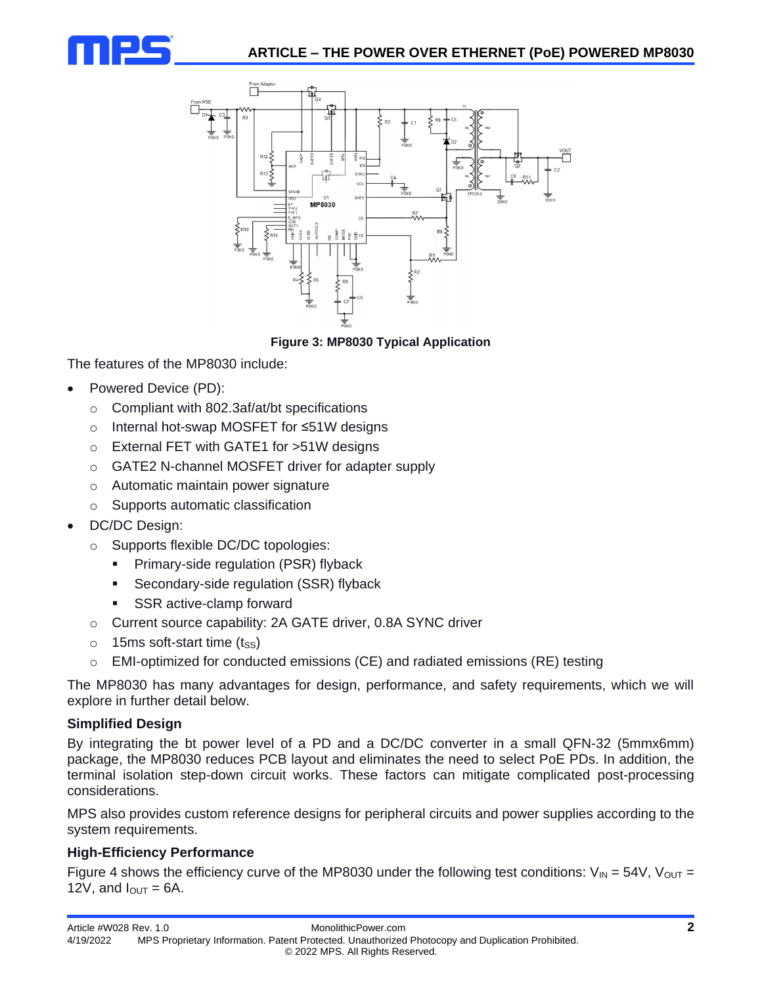



# **Figure 3: MP8030 Typical Application**

The features of the MP8030 include:

- Powered Device (PD):
	- o Compliant with 802.3af/at/bt specifications
	- o Internal hot-swap MOSFET for ≤51W designs
	- o External FET with GATE1 for >51W designs
	- o GATE2 N-channel MOSFET driver for adapter supply
	- o Automatic maintain power signature
	- o Supports automatic classification
- DC/DC Design:
	- o Supports flexible DC/DC topologies:
		- **•** Primary-side regulation (PSR) flyback
		- **EXECONDARY-Side regulation (SSR) flyback**
		- SSR active-clamp forward
	- o Current source capability: 2A GATE driver, 0.8A SYNC driver
	- $\circ$  15ms soft-start time (t<sub>SS</sub>)
	- $\circ$  EMI-optimized for conducted emissions (CE) and radiated emissions (RE) testing

The MP8030 has many advantages for design, performance, and safety requirements, which we will explore in further detail below.

### **Simplified Design**

By integrating the bt power level of a PD and a DC/DC converter in a small QFN-32 (5mmx6mm) package, the MP8030 reduces PCB layout and eliminates the need to select PoE PDs. In addition, the terminal isolation step-down circuit works. These factors can mitigate complicated post-processing considerations.

MPS also provides custom reference designs for peripheral circuits and power supplies according to the system requirements.

### **High-Efficiency Performance**

Figure 4 shows the efficiency curve of the MP8030 under the following test conditions:  $V_{\text{IN}} = 54V$ ,  $V_{\text{OUT}} =$ 12V, and  $I_{\text{OUT}} = 6A$ .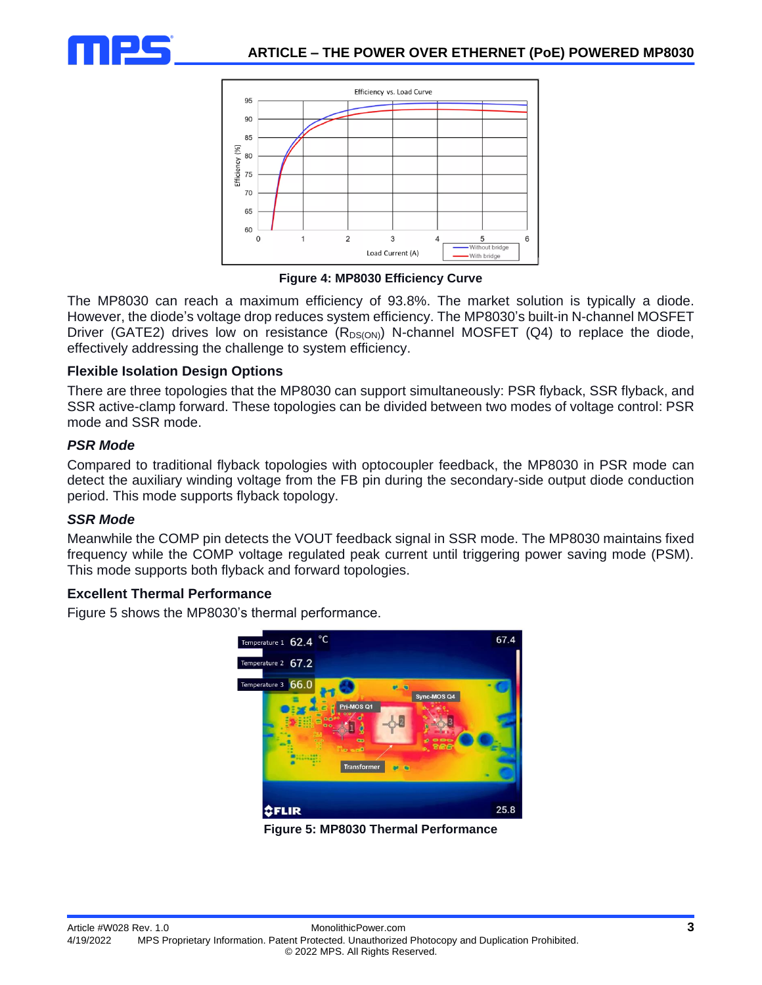



**Figure 4: MP8030 Efficiency Curve**

The MP8030 can reach a maximum efficiency of 93.8%. The market solution is typically a diode. However, the diode's voltage drop reduces system efficiency. The MP8030's built-in N-channel MOSFET Driver (GATE2) drives low on resistance ( $R_{DS(ON)}$ ) N-channel MOSFET (Q4) to replace the diode, effectively addressing the challenge to system efficiency.

### **Flexible Isolation Design Options**

There are three topologies that the MP8030 can support simultaneously: PSR flyback, SSR flyback, and SSR active-clamp forward. These topologies can be divided between two modes of voltage control: PSR mode and SSR mode.

# *PSR Mode*

Compared to traditional flyback topologies with optocoupler feedback, the MP8030 in PSR mode can detect the auxiliary winding voltage from the FB pin during the secondary-side output diode conduction period. This mode supports flyback topology.

# *SSR Mode*

Meanwhile the COMP pin detects the VOUT feedback signal in SSR mode. The MP8030 maintains fixed frequency while the COMP voltage regulated peak current until triggering power saving mode (PSM). This mode supports both flyback and forward topologies.

# **Excellent Thermal Performance**

Figure 5 shows the MP8030's thermal performance.



**Figure 5: MP8030 Thermal Performance**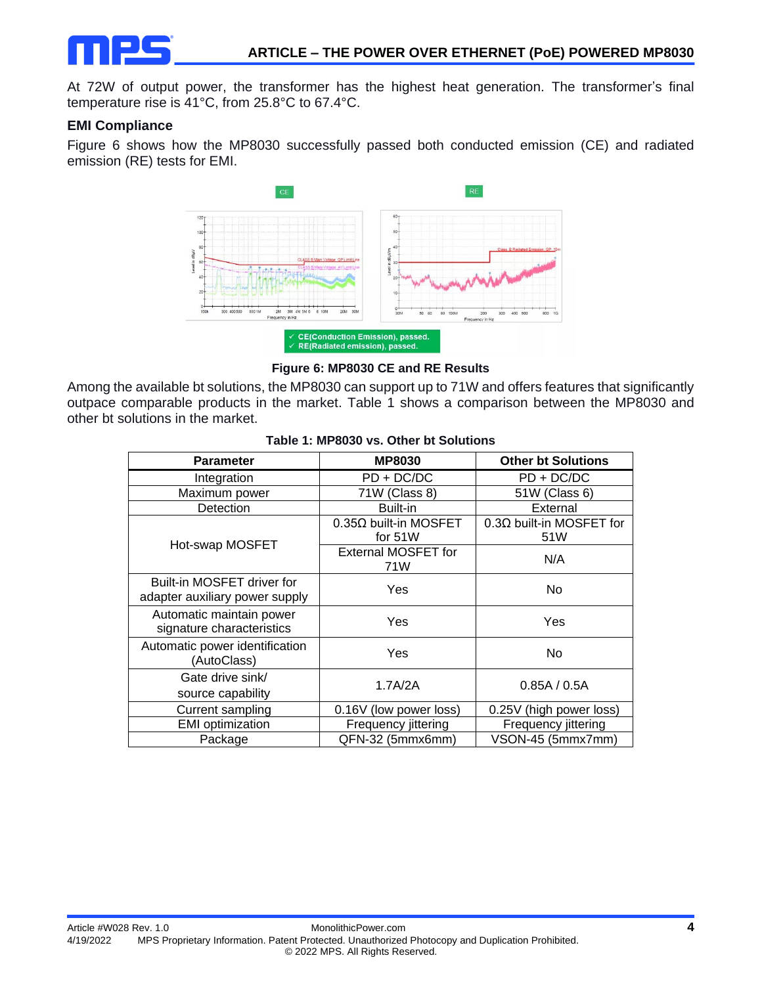

At 72W of output power, the transformer has the highest heat generation. The transformer's final temperature rise is 41°C, from 25.8°C to 67.4°C.

#### **EMI Compliance**

Figure 6 shows how the MP8030 successfully passed both conducted emission (CE) and radiated emission (RE) tests for EMI.



**Figure 6: MP8030 CE and RE Results**

Among the available bt solutions, the MP8030 can support up to 71W and offers features that significantly outpace comparable products in the market. Table 1 shows a comparison between the MP8030 and other bt solutions in the market.

| <b>Parameter</b>                                             | <b>MP8030</b>                     | <b>Other bt Solutions</b>              |
|--------------------------------------------------------------|-----------------------------------|----------------------------------------|
| Integration                                                  | $PD + DC/DC$                      | $PD + DC/DC$                           |
| Maximum power                                                | 71W (Class 8)                     | 51W (Class 6)                          |
| Detection                                                    | Built-in                          | External                               |
| Hot-swap MOSFET                                              | 0.35Ω built-in MOSFET<br>for 51W  | $0.3\Omega$ built-in MOSFET for<br>51W |
|                                                              | <b>External MOSFET for</b><br>71W | N/A                                    |
| Built-in MOSFET driver for<br>adapter auxiliary power supply | Yes                               | No                                     |
| Automatic maintain power<br>signature characteristics        | Yes                               | Yes                                    |
| Automatic power identification<br>(AutoClass)                | Yes                               | N <sub>o</sub>                         |
| Gate drive sink/<br>source capability                        | 1.7A/2A                           | 0.85A / 0.5A                           |
| <b>Current sampling</b>                                      | 0.16V (low power loss)            | 0.25V (high power loss)                |
| <b>EMI</b> optimization                                      | Frequency jittering               | Frequency jittering                    |
| Package                                                      | QFN-32 (5mmx6mm)                  | VSON-45 (5mmx7mm)                      |

#### **Table 1: MP8030 vs. Other bt Solutions**